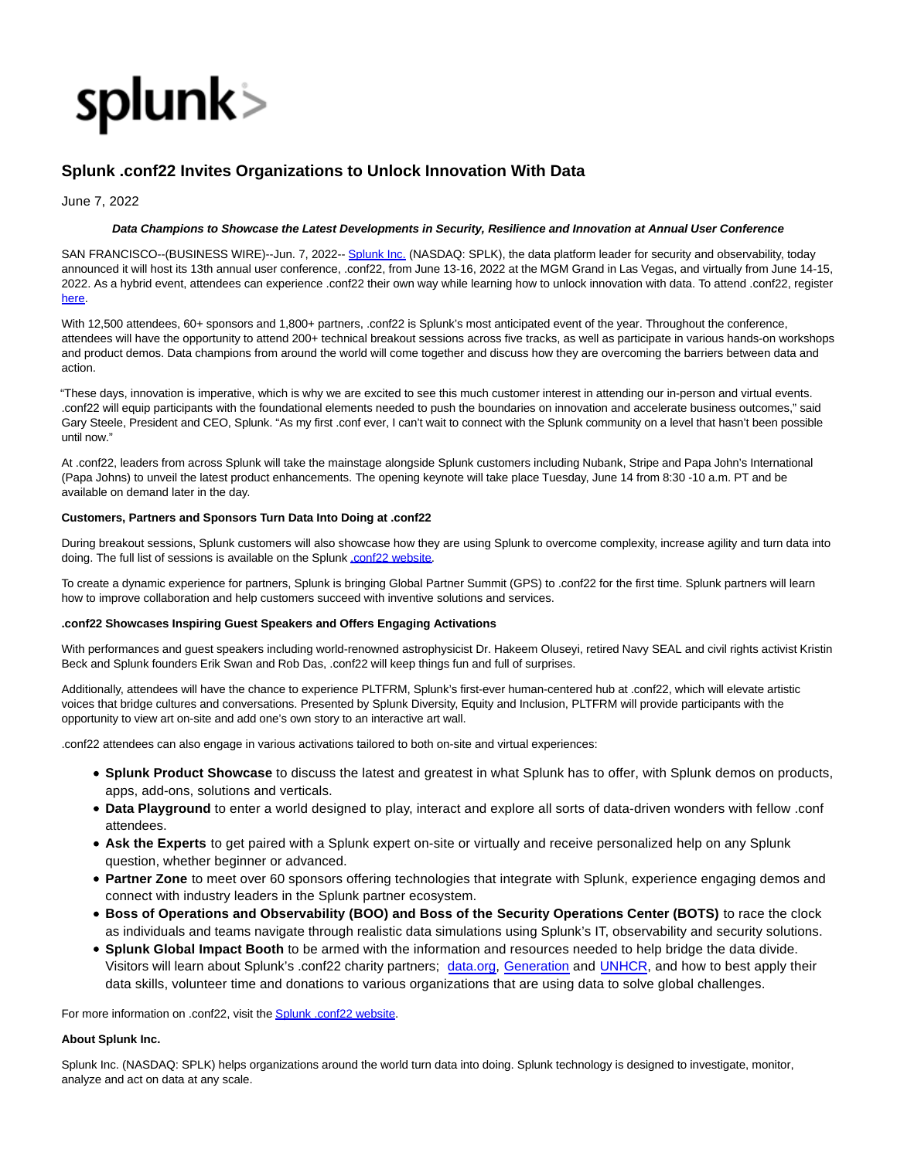

# **Splunk .conf22 Invites Organizations to Unlock Innovation With Data**

June 7, 2022

### **Data Champions to Showcase the Latest Developments in Security, Resilience and Innovation at Annual User Conference**

SAN FRANCISCO--(BUSINESS WIRE)--Jun. 7, 2022-- [Splunk Inc. \(](https://cts.businesswire.com/ct/CT?id=smartlink&url=http%3A%2F%2Fwww.splunk.com%2F&esheet=52741732&newsitemid=20220607005524&lan=en-US&anchor=Splunk+Inc.&index=1&md5=9e734be978bc545ca02fd1e39f585ac6)NASDAQ: SPLK), the data platform leader for security and observability, today announced it will host its 13th annual user conference, .conf22, from June 13-16, 2022 at the MGM Grand in Las Vegas, and virtually from June 14-15, 2022. As a hybrid event, attendees can experience .conf22 their own way while learning how to unlock innovation with data. To attend .conf22, register [here.](https://cts.businesswire.com/ct/CT?id=smartlink&url=https%3A%2F%2Fconf.splunk.com%2F&esheet=52741732&newsitemid=20220607005524&lan=en-US&anchor=here&index=2&md5=49d4ec5805385d57db124fdf81b6024d)

With 12,500 attendees, 60+ sponsors and 1,800+ partners, .conf22 is Splunk's most anticipated event of the year. Throughout the conference, attendees will have the opportunity to attend 200+ technical breakout sessions across five tracks, as well as participate in various hands-on workshops and product demos. Data champions from around the world will come together and discuss how they are overcoming the barriers between data and action.

"These days, innovation is imperative, which is why we are excited to see this much customer interest in attending our in-person and virtual events. .conf22 will equip participants with the foundational elements needed to push the boundaries on innovation and accelerate business outcomes," said Gary Steele, President and CEO, Splunk. "As my first .conf ever, I can't wait to connect with the Splunk community on a level that hasn't been possible until now."

At .conf22, leaders from across Splunk will take the mainstage alongside Splunk customers including Nubank, Stripe and Papa John's International (Papa Johns) to unveil the latest product enhancements. The opening keynote will take place Tuesday, June 14 from 8:30 -10 a.m. PT and be available on demand later in the day.

#### **Customers, Partners and Sponsors Turn Data Into Doing at .conf22**

During breakout sessions, Splunk customers will also showcase how they are using Splunk to overcome complexity, increase agility and turn data into doing. The full list of sessions is available on the Splun[k .conf22 website.](https://cts.businesswire.com/ct/CT?id=smartlink&url=https%3A%2F%2Fconf.splunk.com%2F&esheet=52741732&newsitemid=20220607005524&lan=en-US&anchor=.conf22+website&index=3&md5=4d23ad9c162d1532e20df01b706adec1)

To create a dynamic experience for partners, Splunk is bringing Global Partner Summit (GPS) to .conf22 for the first time. Splunk partners will learn how to improve collaboration and help customers succeed with inventive solutions and services.

#### **.conf22 Showcases Inspiring Guest Speakers and Offers Engaging Activations**

With performances and guest speakers including world-renowned astrophysicist Dr. Hakeem Oluseyi, retired Navy SEAL and civil rights activist Kristin Beck and Splunk founders Erik Swan and Rob Das, .conf22 will keep things fun and full of surprises.

Additionally, attendees will have the chance to experience PLTFRM, Splunk's first-ever human-centered hub at .conf22, which will elevate artistic voices that bridge cultures and conversations. Presented by Splunk Diversity, Equity and Inclusion, PLTFRM will provide participants with the opportunity to view art on-site and add one's own story to an interactive art wall.

.conf22 attendees can also engage in various activations tailored to both on-site and virtual experiences:

- **Splunk Product Showcase** to discuss the latest and greatest in what Splunk has to offer, with Splunk demos on products, apps, add-ons, solutions and verticals.
- **Data Playground** to enter a world designed to play, interact and explore all sorts of data-driven wonders with fellow .conf attendees.
- **Ask the Experts** to get paired with a Splunk expert on-site or virtually and receive personalized help on any Splunk question, whether beginner or advanced.
- **Partner Zone** to meet over 60 sponsors offering technologies that integrate with Splunk, experience engaging demos and connect with industry leaders in the Splunk partner ecosystem.
- **Boss of Operations and Observability (BOO) and Boss of the Security Operations Center (BOTS)** to race the clock as individuals and teams navigate through realistic data simulations using Splunk's IT, observability and security solutions.
- **Splunk Global Impact Booth** to be armed with the information and resources needed to help bridge the data divide. Visitors will learn about Splunk's .conf22 charity partners; [data.org,](https://cts.businesswire.com/ct/CT?id=smartlink&url=https%3A%2F%2Fdata.org%2F&esheet=52741732&newsitemid=20220607005524&lan=en-US&anchor=data.org&index=4&md5=be6da98f6b2796b7c39bfa5f456555e9) [Generation a](https://cts.businesswire.com/ct/CT?id=smartlink&url=https%3A%2F%2Fwww.generation.org%2F&esheet=52741732&newsitemid=20220607005524&lan=en-US&anchor=Generation&index=5&md5=cc93394747e3673c9889687fdb26acc9)nd [UNHCR,](https://cts.businesswire.com/ct/CT?id=smartlink&url=https%3A%2F%2Fwww.unhcr.org%2Fen-us%2Fabout-us.html&esheet=52741732&newsitemid=20220607005524&lan=en-US&anchor=UNHCR&index=6&md5=cdf76ada9f21ba13ea391534b194306a) and how to best apply their data skills, volunteer time and donations to various organizations that are using data to solve global challenges.

For more information on .conf22, visit th[e Splunk .conf22 website.](https://cts.businesswire.com/ct/CT?id=smartlink&url=https%3A%2F%2Fconf.splunk.com%2F&esheet=52741732&newsitemid=20220607005524&lan=en-US&anchor=Splunk+.conf22+website&index=7&md5=523cd525077b3c3605811252244f86f0)

## **About Splunk Inc.**

Splunk Inc. (NASDAQ: SPLK) helps organizations around the world turn data into doing. Splunk technology is designed to investigate, monitor, analyze and act on data at any scale.